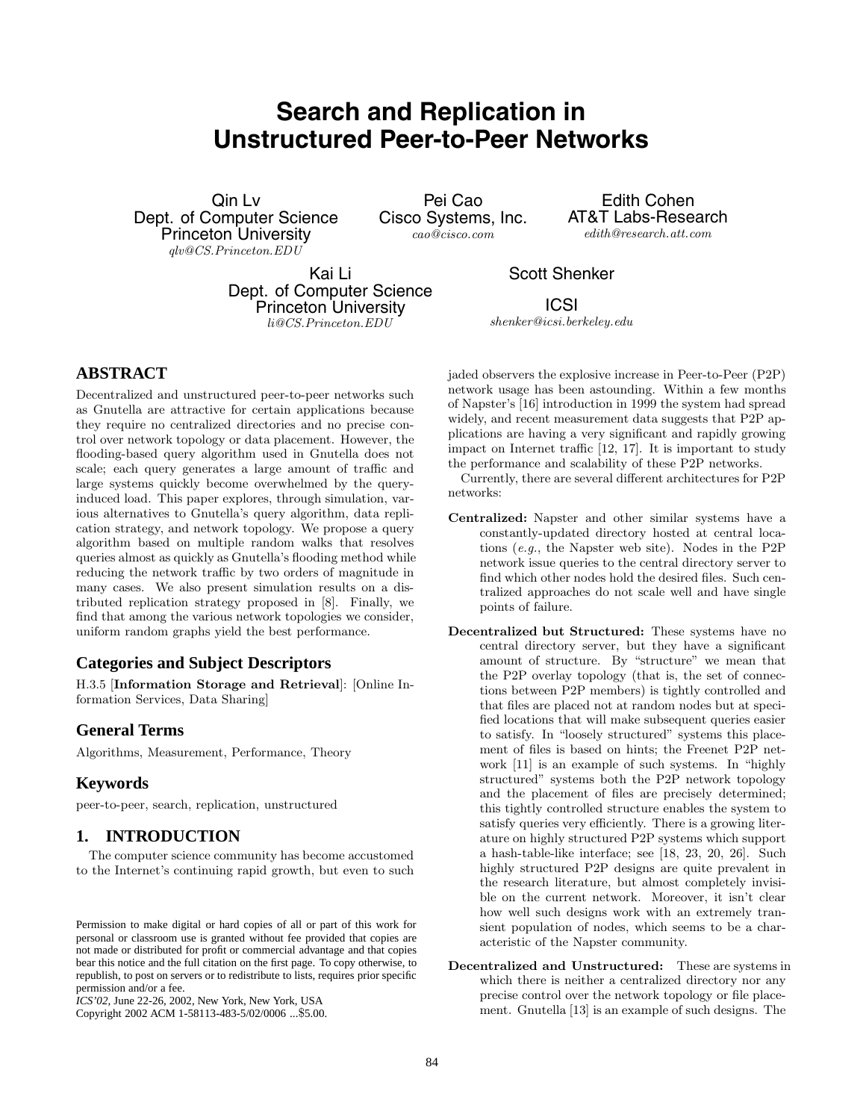# **Search and Replication in Unstructured Peer-to-Peer Networks**

Qin Lv Dept. of Computer Science Princeton University *qlv@CS.Princeton.EDU*

Pei Cao Cisco Systems, Inc. *cao@cisco.com*

Edith Cohen AT&T Labs-Research *edith@research.att.com*

Kai Li Dept. of Computer Science Princeton University *li@CS.Princeton.EDU*

Scott Shenker ICSI

**ABSTRACT**

Decentralized and unstructured peer-to-peer networks such as Gnutella are attractive for certain applications because they require no centralized directories and no precise control over network topology or data placement. However, the flooding-based query algorithm used in Gnutella does not scale; each query generates a large amount of traffic and large systems quickly become overwhelmed by the queryinduced load. This paper explores, through simulation, various alternatives to Gnutella's query algorithm, data replication strategy, and network topology. We propose a query algorithm based on multiple random walks that resolves queries almost as quickly as Gnutella's flooding method while reducing the network traffic by two orders of magnitude in many cases. We also present simulation results on a distributed replication strategy proposed in [8]. Finally, we find that among the various network topologies we consider, uniform random graphs yield the best performance.

# **Categories and Subject Descriptors**

H.3.5 [**Information Storage and Retrieval**]: [Online Information Services, Data Sharing]

# **General Terms**

Algorithms, Measurement, Performance, Theory

# **Keywords**

peer-to-peer, search, replication, unstructured

# **1. INTRODUCTION**

The computer science community has become accustomed to the Internet's continuing rapid growth, but even to such

Copyright 2002 ACM 1-58113-483-5/02/0006 ...\$5.00.

*shenker@icsi.berkeley.edu*

jaded observers the explosive increase in Peer-to-Peer (P2P) network usage has been astounding. Within a few months of Napster's [16] introduction in 1999 the system had spread widely, and recent measurement data suggests that P2P applications are having a very significant and rapidly growing impact on Internet traffic [12, 17]. It is important to study the performance and scalability of these P2P networks.

Currently, there are several different architectures for P2P networks:

- **Centralized:** Napster and other similar systems have a constantly-updated directory hosted at central locations (*e.g.*, the Napster web site). Nodes in the P2P network issue queries to the central directory server to find which other nodes hold the desired files. Such centralized approaches do not scale well and have single points of failure.
- **Decentralized but Structured:** These systems have no central directory server, but they have a significant amount of structure. By "structure" we mean that the P2P overlay topology (that is, the set of connections between P2P members) is tightly controlled and that files are placed not at random nodes but at specified locations that will make subsequent queries easier to satisfy. In "loosely structured" systems this placement of files is based on hints; the Freenet P2P network [11] is an example of such systems. In "highly structured" systems both the P2P network topology and the placement of files are precisely determined; this tightly controlled structure enables the system to satisfy queries very efficiently. There is a growing literature on highly structured P2P systems which support a hash-table-like interface; see  $[18, 23, 20, 26]$ . Such highly structured P2P designs are quite prevalent in the research literature, but almost completely invisible on the current network. Moreover, it isn't clear how well such designs work with an extremely transient population of nodes, which seems to be a characteristic of the Napster community.
- **Decentralized and Unstructured:** These are systems in which there is neither a centralized directory nor any precise control over the network topology or file placement. Gnutella [13] is an example of such designs. The

Permission to make digital or hard copies of all or part of this work for personal or classroom use is granted without fee provided that copies are not made or distributed for profit or commercial advantage and that copies bear this notice and the full citation on the first page. To copy otherwise, to republish, to post on servers or to redistribute to lists, requires prior specific permission and/or a fee.

*ICS'02,* June 22-26, 2002, New York, New York, USA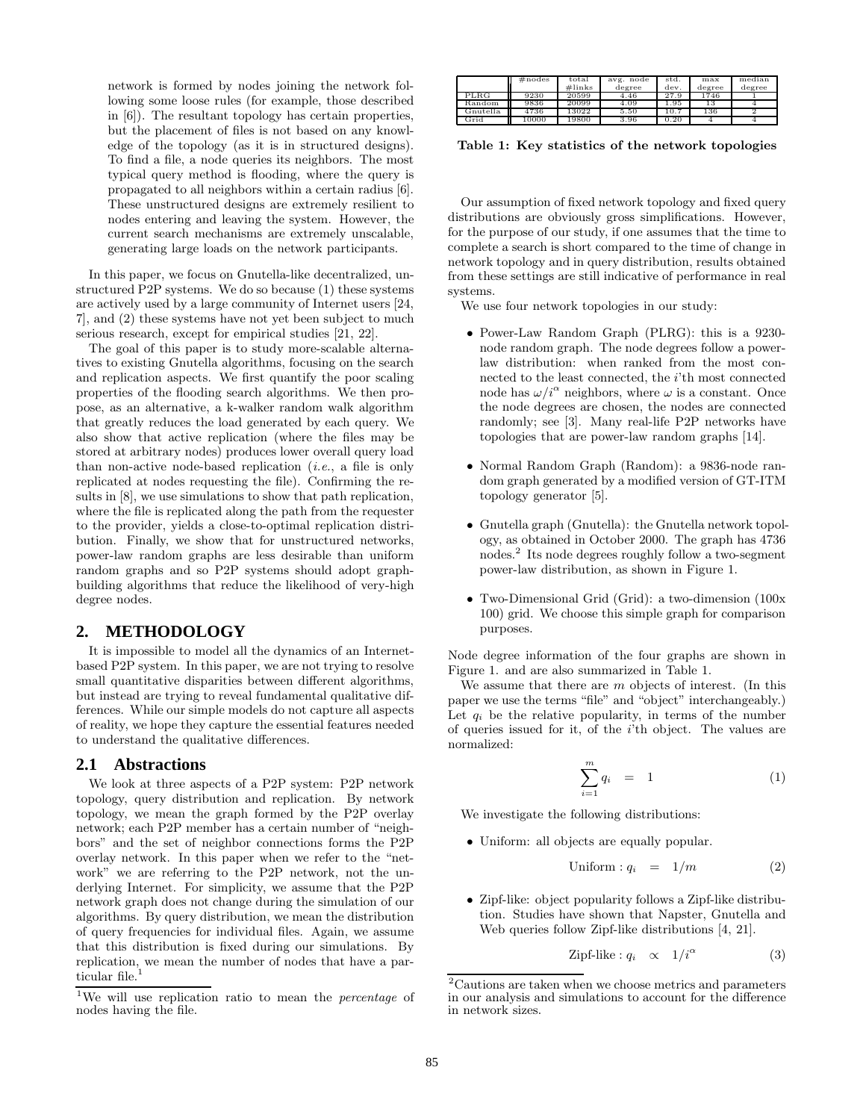network is formed by nodes joining the network following some loose rules (for example, those described in [6]). The resultant topology has certain properties, but the placement of files is not based on any knowledge of the topology (as it is in structured designs). To find a file, a node queries its neighbors. The most typical query method is flooding, where the query is propagated to all neighbors within a certain radius [6]. These unstructured designs are extremely resilient to nodes entering and leaving the system. However, the current search mechanisms are extremely unscalable, generating large loads on the network participants.

In this paper, we focus on Gnutella-like decentralized, unstructured P2P systems. We do so because (1) these systems are actively used by a large community of Internet users [24, 7], and (2) these systems have not yet been subject to much serious research, except for empirical studies [21, 22].

The goal of this paper is to study more-scalable alternatives to existing Gnutella algorithms, focusing on the search and replication aspects. We first quantify the poor scaling properties of the flooding search algorithms. We then propose, as an alternative, a k-walker random walk algorithm that greatly reduces the load generated by each query. We also show that active replication (where the files may be stored at arbitrary nodes) produces lower overall query load than non-active node-based replication (*i.e.*, a file is only replicated at nodes requesting the file). Confirming the results in [8], we use simulations to show that path replication, where the file is replicated along the path from the requester to the provider, yields a close-to-optimal replication distribution. Finally, we show that for unstructured networks, power-law random graphs are less desirable than uniform random graphs and so P2P systems should adopt graphbuilding algorithms that reduce the likelihood of very-high degree nodes.

## **2. METHODOLOGY**

It is impossible to model all the dynamics of an Internetbased P2P system. In this paper, we are not trying to resolve small quantitative disparities between different algorithms, but instead are trying to reveal fundamental qualitative differences. While our simple models do not capture all aspects of reality, we hope they capture the essential features needed to understand the qualitative differences.

#### **2.1 Abstractions**

We look at three aspects of a P2P system: P2P network topology, query distribution and replication. By network topology, we mean the graph formed by the P2P overlay network;each P2P member has a certain number of "neighbors" and the set of neighbor connections forms the P2P overlay network. In this paper when we refer to the "network" we are referring to the P2P network, not the underlying Internet. For simplicity, we assume that the P2P network graph does not change during the simulation of our algorithms. By query distribution, we mean the distribution of query frequencies for individual files. Again, we assume that this distribution is fixed during our simulations. By replication, we mean the number of nodes that have a particular file.<sup>1</sup>

|          | $\#nodes$ | total<br>$\#$ links | avg. node<br>degree | std.<br>dev. | max<br>degree | median<br>degree |
|----------|-----------|---------------------|---------------------|--------------|---------------|------------------|
| PLRG     | 9230      | 20599               | 4.46                | 27.9         | 1746          |                  |
| Random   | 9836      | 20099               | 4.09                | 1.95         | 13            |                  |
| Gnutella | 4736      | 13022               | 5.50                | 10.7         | 136           |                  |
| Grid     | 10000     | 19800               | 3.96                | 0.20         |               |                  |

Table 1: Key statistics of the network topologies

Our assumption of fixed network topology and fixed query distributions are obviously gross simplifications. However, for the purpose of our study, if one assumes that the time to complete a search is short compared to the time of change in network topology and in query distribution, results obtained from these settings are still indicative of performance in real systems.

We use four network topologies in our study:

- Power-Law Random Graph (PLRG): this is a 9230 node random graph. The node degrees follow a powerlaw distribution: when ranked from the most connected to the least connected, the i'th most connected node has  $\omega/i^{\alpha}$  neighbors, where  $\omega$  is a constant. Once the node degrees are chosen, the nodes are connected randomly; see [3]. Many real-life P2P networks have topologies that are power-law random graphs [14].
- Normal Random Graph (Random): a 9836-node random graph generated by a modified version of GT-ITM topology generator [5].
- Gnutella graph (Gnutella): the Gnutella network topology, as obtained in October 2000. The graph has 4736 nodes.<sup>2</sup> Its node degrees roughly follow a two-segment power-law distribution, as shown in Figure 1.
- Two-Dimensional Grid (Grid): a two-dimension (100x 100) grid. We choose this simple graph for comparison purposes.

Node degree information of the four graphs are shown in Figure 1. and are also summarized in Table 1.

We assume that there are  $m$  objects of interest. (In this paper we use the terms "file" and "object" interchangeably.) Let  $q_i$  be the relative popularity, in terms of the number of queries issued for it, of the i'th object. The values are normalized:

$$
\sum_{i=1}^{m} q_i = 1 \tag{1}
$$

We investigate the following distributions:

• Uniform: all objects are equally popular.

$$
Uniform: q_i = 1/m \tag{2}
$$

• Zipf-like: object popularity follows a Zipf-like distribution. Studies have shown that Napster, Gnutella and Web queries follow Zipf-like distributions [4, 21].

Zipf-like : 
$$
q_i \propto 1/i^{\alpha}
$$
 (3)

<sup>1</sup>We will use replication ratio to mean the *percentage* of nodes having the file.

 $\rm ^2Cautions$  are taken when we choose metrics and parameters in our analysis and simulations to account for the difference in network sizes.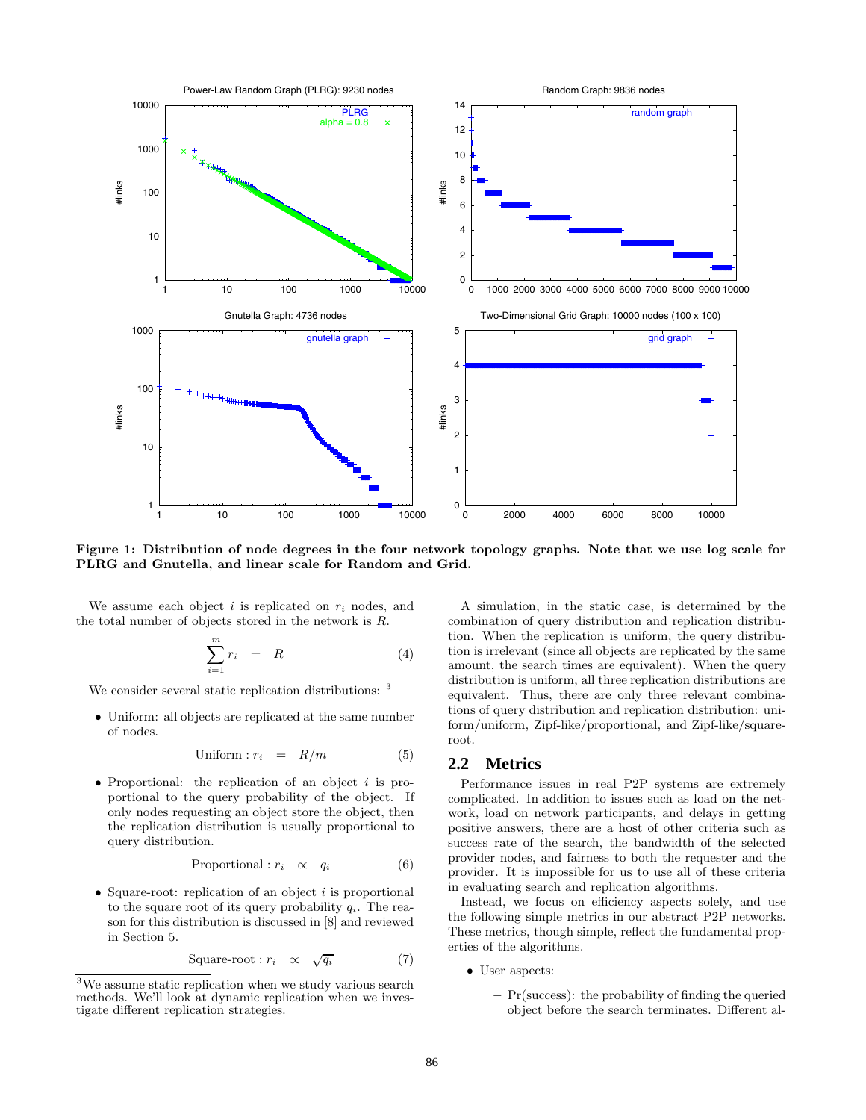

**Figure 1: Distribution of node degrees in the four networktopology graphs. Note that we use log scale for PLRG and Gnutella, and linear scale for Random and Grid.**

We assume each object  $i$  is replicated on  $r_i$  nodes, and the total number of objects stored in the network is R.

$$
\sum_{i=1}^{m} r_i = R \tag{4}
$$

We consider several static replication distributions: <sup>3</sup>

• Uniform: all objects are replicated at the same number of nodes.

$$
Uniform: r_i = R/m \tag{5}
$$

• Proportional: the replication of an object  $i$  is proportional to the query probability of the object. If only nodes requesting an object store the object, then the replication distribution is usually proportional to query distribution.

$$
Proportional: r_i \quad \propto \quad q_i \tag{6}
$$

• Square-root: replication of an object  $i$  is proportional to the square root of its query probability  $q_i$ . The reason for this distribution is discussed in [8] and reviewed in Section 5.

$$
Square-root: r_i \propto \sqrt{q_i} \tag{7}
$$

A simulation, in the static case, is determined by the combination of query distribution and replication distribution. When the replication is uniform, the query distribution is irrelevant (since all objects are replicated by the same amount, the search times are equivalent). When the query distribution is uniform, all three replication distributions are equivalent. Thus, there are only three relevant combinations of query distribution and replication distribution: uniform/uniform, Zipf-like/proportional, and Zipf-like/squareroot.

#### **2.2 Metrics**

Performance issues in real P2P systems are extremely complicated. In addition to issues such as load on the network, load on network participants, and delays in getting positive answers, there are a host of other criteria such as success rate of the search, the bandwidth of the selected provider nodes, and fairness to both the requester and the provider. It is impossible for us to use all of these criteria in evaluating search and replication algorithms.

Instead, we focus on efficiency aspects solely, and use the following simple metrics in our abstract P2P networks. These metrics, though simple, reflect the fundamental properties of the algorithms.

- User aspects:
	- **–** Pr(success): the probability of finding the queried object before the search terminates. Different al-

 $^3\rm{We}$  assume static replication when we study various search methods. We'll look at dynamic replication when we investigate different replication strategies.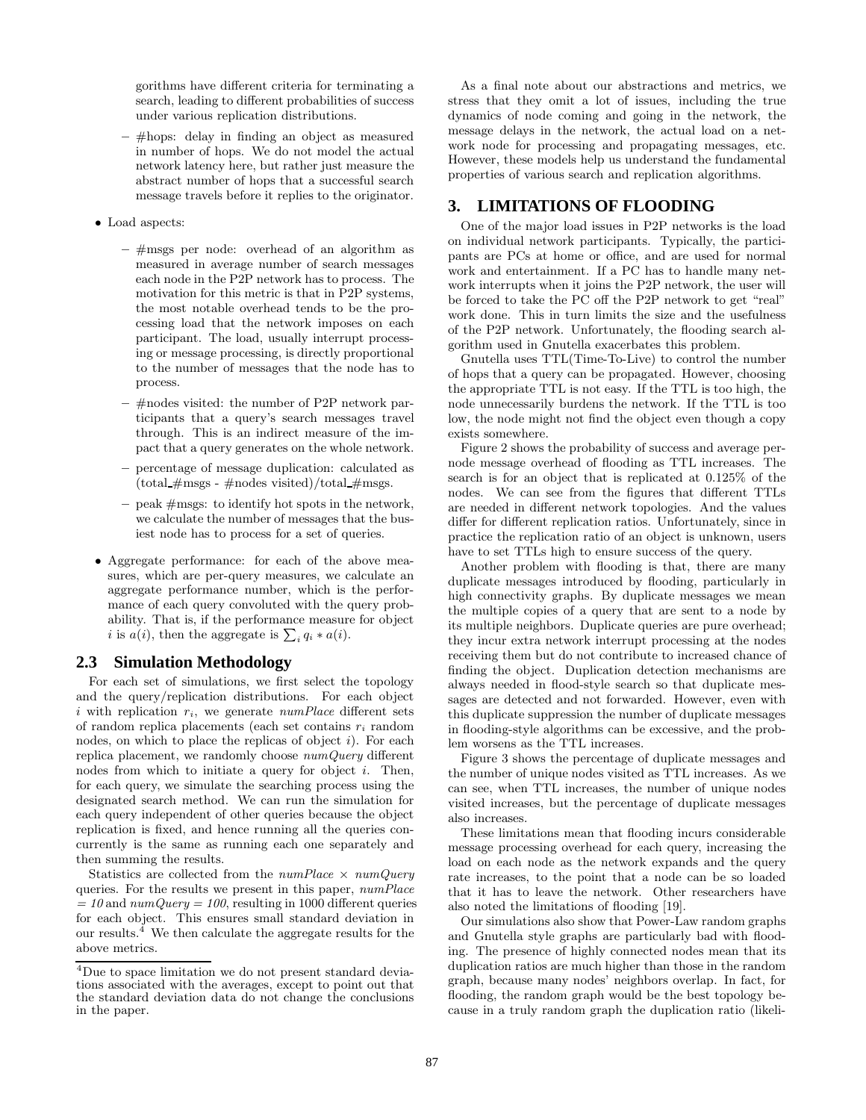gorithms have different criteria for terminating a search, leading to different probabilities of success under various replication distributions.

- **–** #hops: delay in finding an object as measured in number of hops. We do not model the actual network latency here, but rather just measure the abstract number of hops that a successful search message travels before it replies to the originator.
- Load aspects:
	- **–** #msgs per node: overhead of an algorithm as measured in average number of search messages each node in the P2P network has to process. The motivation for this metric is that in P2P systems, the most notable overhead tends to be the processing load that the network imposes on each participant. The load, usually interrupt processing or message processing, is directly proportional to the number of messages that the node has to process.
	- **–** #nodes visited: the number of P2P network participants that a query's search messages travel through. This is an indirect measure of the impact that a query generates on the whole network.
	- **–** percentage of message duplication: calculated as  $(\text{total \#msgs - #nodes visited})/\text{total \#msgs.}$
	- **–** peak #msgs: to identify hot spots in the network, we calculate the number of messages that the busiest node has to process for a set of queries.
- Aggregate performance: for each of the above measures, which are per-query measures, we calculate an aggregate performance number, which is the performance of each query convoluted with the query probability. That is, if the performance measure for object *i* is  $a(i)$ , then the aggregate is  $\sum_i q_i * a(i)$ .

### **2.3 Simulation Methodology**

For each set of simulations, we first select the topology and the query/replication distributions. For each object i with replication  $r_i$ , we generate  $numPlace$  different sets of random replica placements (each set contains  $r_i$  random nodes, on which to place the replicas of object  $i$ ). For each replica placement, we randomly choose *numQuery* different nodes from which to initiate a query for object  $i$ . Then, for each query, we simulate the searching process using the designated search method. We can run the simulation for each query independent of other queries because the object replication is fixed, and hence running all the queries concurrently is the same as running each one separately and then summing the results.

Statistics are collected from the *numPlace* × *numQuery* queries. For the results we present in this paper, *numPlace*  $= 10$  and  $numQuery = 100$ , resulting in 1000 different queries for each object. This ensures small standard deviation in our results. $4$  We then calculate the aggregate results for the above metrics.

As a final note about our abstractions and metrics, we stress that they omit a lot of issues, including the true dynamics of node coming and going in the network, the message delays in the network, the actual load on a network node for processing and propagating messages, etc. However, these models help us understand the fundamental properties of various search and replication algorithms.

# **3. LIMITATIONS OF FLOODING**

One of the major load issues in P2P networks is the load on individual network participants. Typically, the participants are PCs at home or office, and are used for normal work and entertainment. If a PC has to handle many network interrupts when it joins the P2P network, the user will be forced to take the PC off the P2P network to get "real" work done. This in turn limits the size and the usefulness of the P2P network. Unfortunately, the flooding search algorithm used in Gnutella exacerbates this problem.

Gnutella uses TTL(Time-To-Live) to control the number of hops that a query can be propagated. However, choosing the appropriate TTL is not easy. If the TTL is too high, the node unnecessarily burdens the network. If the TTL is too low, the node might not find the object even though a copy exists somewhere.

Figure 2 shows the probability of success and average pernode message overhead of flooding as TTL increases. The search is for an object that is replicated at 0.125% of the nodes. We can see from the figures that different TTLs are needed in different network topologies. And the values differ for different replication ratios. Unfortunately, since in practice the replication ratio of an object is unknown, users have to set TTLs high to ensure success of the query.

Another problem with flooding is that, there are many duplicate messages introduced by flooding, particularly in high connectivity graphs. By duplicate messages we mean the multiple copies of a query that are sent to a node by its multiple neighbors. Duplicate queries are pure overhead; they incur extra network interrupt processing at the nodes receiving them but do not contribute to increased chance of finding the object. Duplication detection mechanisms are always needed in flood-style search so that duplicate messages are detected and not forwarded. However, even with this duplicate suppression the number of duplicate messages in flooding-style algorithms can be excessive, and the problem worsens as the TTL increases.

Figure 3 shows the percentage of duplicate messages and the number of unique nodes visited as TTL increases. As we can see, when TTL increases, the number of unique nodes visited increases, but the percentage of duplicate messages also increases.

These limitations mean that flooding incurs considerable message processing overhead for each query, increasing the load on each node as the network expands and the query rate increases, to the point that a node can be so loaded that it has to leave the network. Other researchers have also noted the limitations of flooding [19].

Our simulations also show that Power-Law random graphs and Gnutella style graphs are particularly bad with flooding. The presence of highly connected nodes mean that its duplication ratios are much higher than those in the random graph, because many nodes' neighbors overlap. In fact, for flooding, the random graph would be the best topology because in a truly random graph the duplication ratio (likeli-

<sup>4</sup>Due to space limitation we do not present standard deviations associated with the averages, except to point out that the standard deviation data do not change the conclusions in the paper.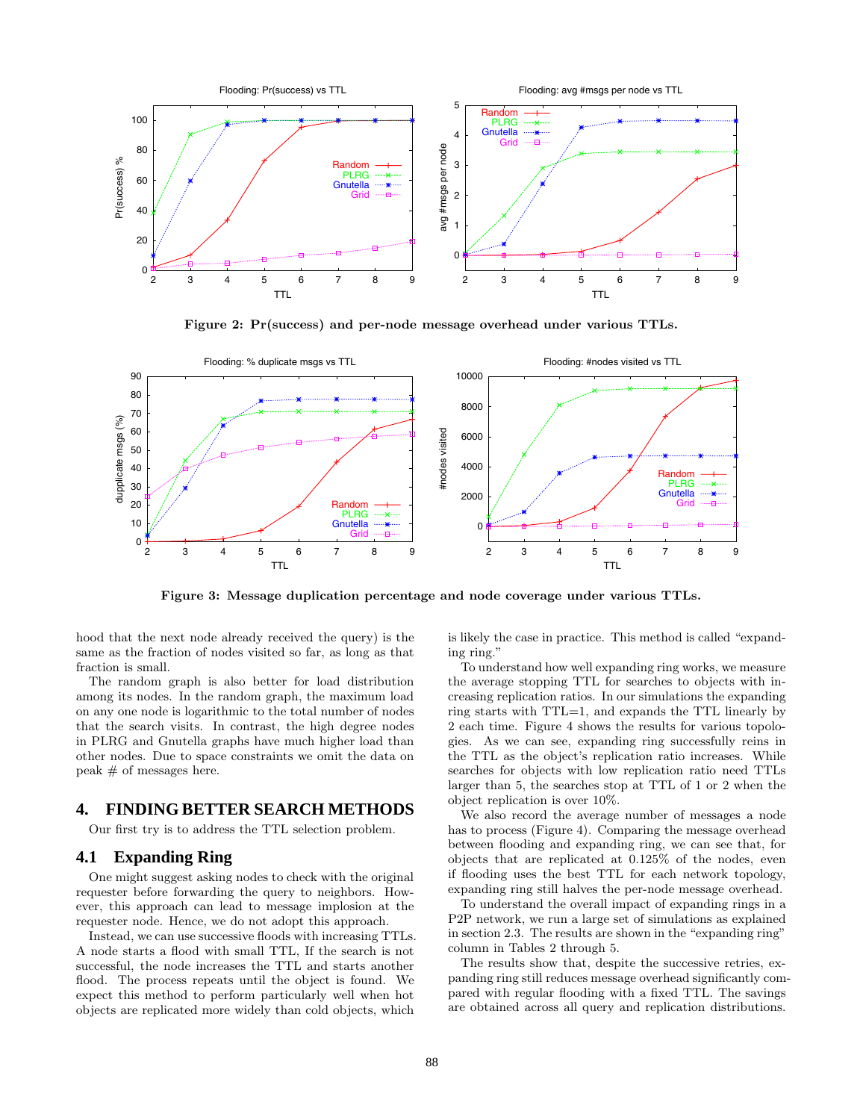

**Figure 2: Pr(success) and per-node message overhead under various TTLs.**



**Figure 3: Message duplication percentage and node coverage under various TTLs.**

hood that the next node already received the query) is the same as the fraction of nodes visited so far, as long as that fraction is small.

The random graph is also better for load distribution among its nodes. In the random graph, the maximum load on any one node is logarithmic to the total number of nodes that the search visits. In contrast, the high degree nodes in PLRG and Gnutella graphs have much higher load than other nodes. Due to space constraints we omit the data on peak # of messages here.

# **4. FINDING BETTER SEARCH METHODS**

Our first try is to address the TTL selection problem.

#### **4.1 Expanding Ring**

One might suggest asking nodes to check with the original requester before forwarding the query to neighbors. However, this approach can lead to message implosion at the requester node. Hence, we do not adopt this approach.

Instead, we can use successive floods with increasing TTLs. A node starts a flood with small TTL, If the search is not successful, the node increases the TTL and starts another flood. The process repeats until the object is found. We expect this method to perform particularly well when hot objects are replicated more widely than cold objects, which

is likely the case in practice. This method is called "expanding ring."

To understand how well expanding ring works, we measure the average stopping TTL for searches to objects with increasing replication ratios. In our simulations the expanding ring starts with TTL=1, and expands the TTL linearly by 2 each time. Figure 4 shows the results for various topologies. As we can see, expanding ring successfully reins in the TTL as the object's replication ratio increases. While searches for objects with low replication ratio need TTLs larger than 5, the searches stop at TTL of 1 or 2 when the object replication is over 10%.

We also record the average number of messages a node has to process (Figure 4). Comparing the message overhead between flooding and expanding ring, we can see that, for objects that are replicated at 0.125% of the nodes, even if flooding uses the best TTL for each network topology, expanding ring still halves the per-node message overhead.

To understand the overall impact of expanding rings in a P2P network, we run a large set of simulations as explained in section 2.3. The results are shown in the "expanding ring" column in Tables 2 through 5.

The results show that, despite the successive retries, expanding ring still reduces message overhead significantly compared with regular flooding with a fixed TTL. The savings are obtained across all query and replication distributions.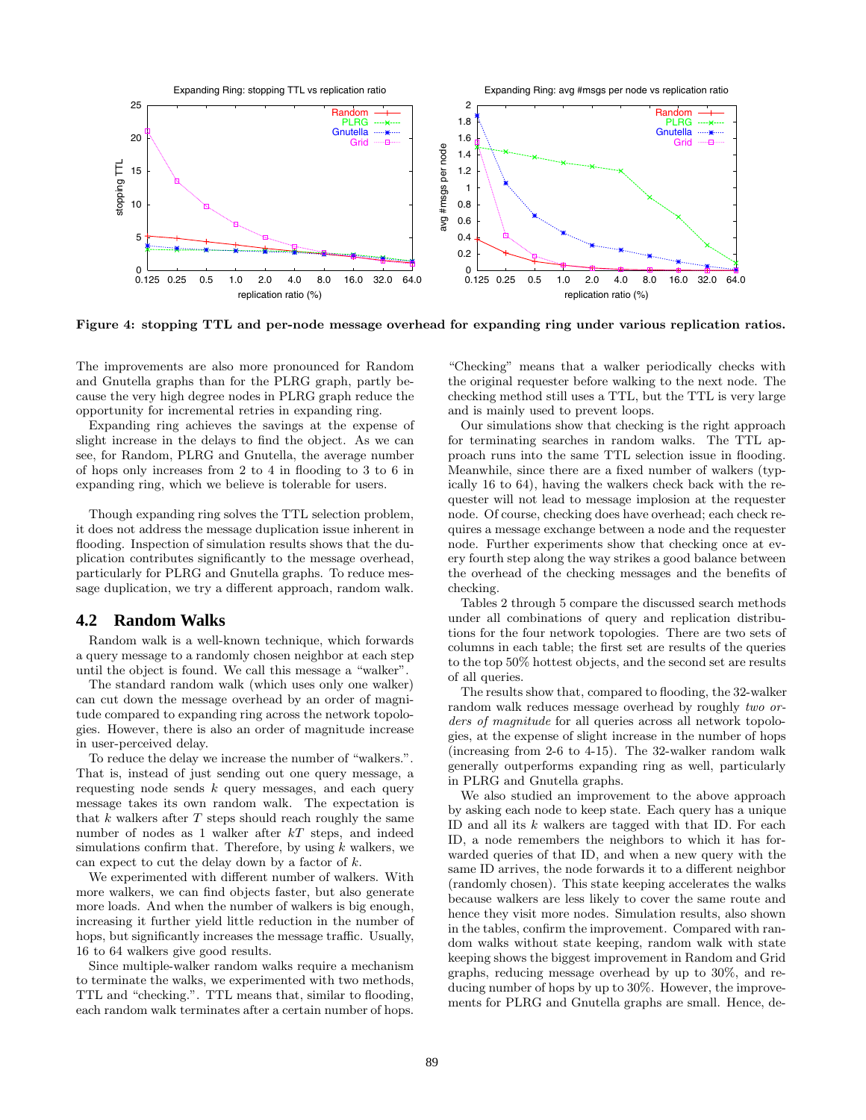

**Figure 4: stopping TTL and per-node message overhead for expanding ring under various replication ratios.**

The improvements are also more pronounced for Random and Gnutella graphs than for the PLRG graph, partly because the very high degree nodes in PLRG graph reduce the opportunity for incremental retries in expanding ring.

Expanding ring achieves the savings at the expense of slight increase in the delays to find the object. As we can see, for Random, PLRG and Gnutella, the average number of hops only increases from 2 to 4 in flooding to 3 to 6 in expanding ring, which we believe is tolerable for users.

Though expanding ring solves the TTL selection problem, it does not address the message duplication issue inherent in flooding. Inspection of simulation results shows that the duplication contributes significantly to the message overhead, particularly for PLRG and Gnutella graphs. To reduce message duplication, we try a different approach, random walk.

#### **4.2 Random Walks**

Random walk is a well-known technique, which forwards a query message to a randomly chosen neighbor at each step until the object is found. We call this message a "walker".

The standard random walk (which uses only one walker) can cut down the message overhead by an order of magnitude compared to expanding ring across the network topologies. However, there is also an order of magnitude increase in user-perceived delay.

To reduce the delay we increase the number of "walkers.". That is, instead of just sending out one query message, a requesting node sends  $k$  query messages, and each query message takes its own random walk. The expectation is that  $k$  walkers after  $T$  steps should reach roughly the same number of nodes as 1 walker after  $kT$  steps, and indeed simulations confirm that. Therefore, by using  $k$  walkers, we can expect to cut the delay down by a factor of  $k$ .

We experimented with different number of walkers. With more walkers, we can find objects faster, but also generate more loads. And when the number of walkers is big enough, increasing it further yield little reduction in the number of hops, but significantly increases the message traffic. Usually, 16 to 64 walkers give good results.

Since multiple-walker random walks require a mechanism to terminate the walks, we experimented with two methods, TTL and "checking.". TTL means that, similar to flooding, each random walk terminates after a certain number of hops.

"Checking" means that a walker periodically checks with the original requester before walking to the next node. The checking method still uses a TTL, but the TTL is very large and is mainly used to prevent loops.

Our simulations show that checking is the right approach for terminating searches in random walks. The TTL approach runs into the same TTL selection issue in flooding. Meanwhile, since there are a fixed number of walkers (typically 16 to 64), having the walkers check back with the requester will not lead to message implosion at the requester node. Of course, checking does have overhead; each check requires a message exchange between a node and the requester node. Further experiments show that checking once at every fourth step along the way strikes a good balance between the overhead of the checking messages and the benefits of checking.

Tables 2 through 5 compare the discussed search methods under all combinations of query and replication distributions for the four network topologies. There are two sets of columns in each table; the first set are results of the queries to the top 50% hottest objects, and the second set are results of all queries.

The results show that, compared to flooding, the 32-walker random walk reduces message overhead by roughly *two orders of magnitude* for all queries across all network topologies, at the expense of slight increase in the number of hops (increasing from 2-6 to 4-15). The 32-walker random walk generally outperforms expanding ring as well, particularly in PLRG and Gnutella graphs.

We also studied an improvement to the above approach by asking each node to keep state. Each query has a unique ID and all its  $k$  walkers are tagged with that ID. For each ID, a node remembers the neighbors to which it has forwarded queries of that ID, and when a new query with the same ID arrives, the node forwards it to a different neighbor (randomly chosen). This state keeping accelerates the walks because walkers are less likely to cover the same route and hence they visit more nodes. Simulation results, also shown in the tables, confirm the improvement. Compared with random walks without state keeping, random walk with state keeping shows the biggest improvement in Random and Grid graphs, reducing message overhead by up to 30%, and reducing number of hops by up to 30%. However, the improvements for PLRG and Gnutella graphs are small. Hence, de-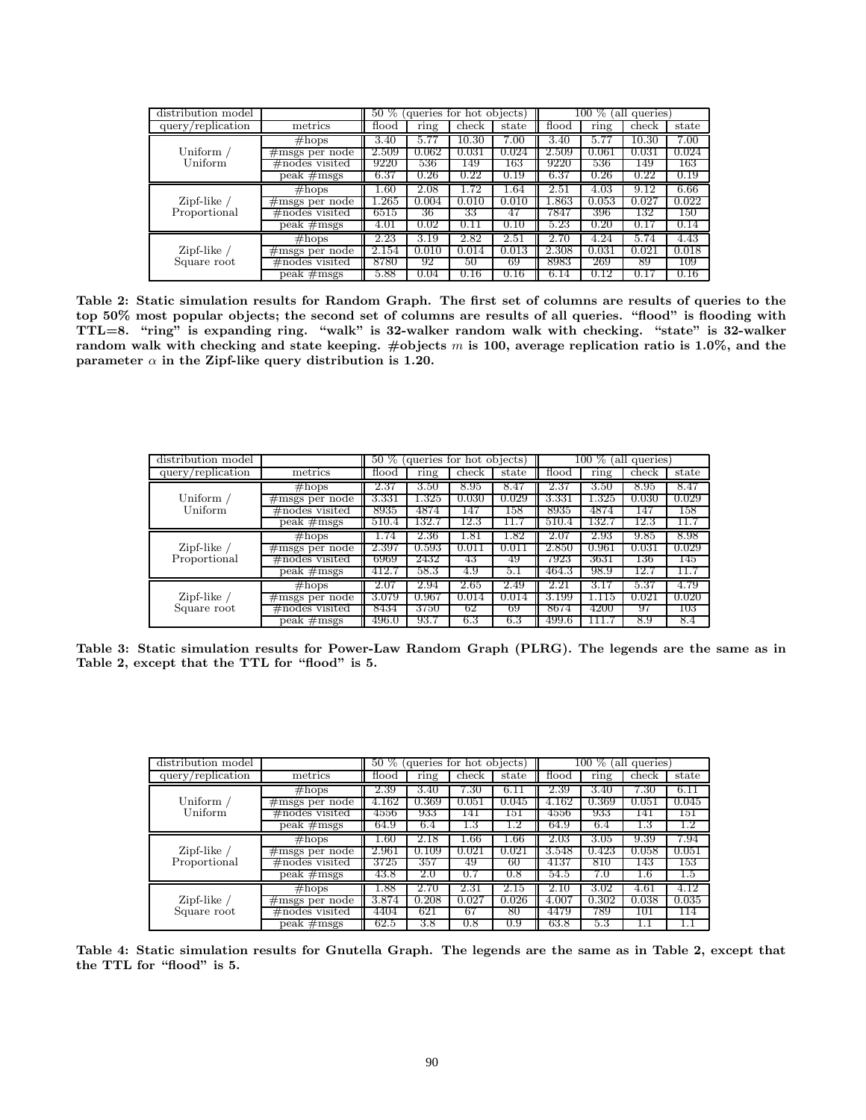| distribution model                 |                                |       |       | 50 % (queries for hot objects) |       |           | $100 \, %$ | (all queries) |       |
|------------------------------------|--------------------------------|-------|-------|--------------------------------|-------|-----------|------------|---------------|-------|
| query/replication                  | metrics                        | flood | ring  | check                          | state | flood     | ring       | check         | state |
|                                    | #hops                          | 3.40  | 5.7   | $10.30\,$                      | 7.00  | 3.40      | 5.7        | $10.30\,$     | 7.00  |
| Uniform /                          | $\#$ msgs per node             | 2.509 | 0.062 | 0.031                          | 0.024 | 2.509     | 0.061      | 0.031         | 0.024 |
| Uniform                            | $\#$ nodes visited             | 9220  | 536   | 149                            | 163   | 9220      | 536        | 149           | 163   |
|                                    | $\overline{\text{peak}}$ #msgs | 6.37  | 0.26  | $\rm 0.22$                     | 0.19  | 6.37      | 0.26       | 0.22          | 0.19  |
|                                    | #hops                          | 1.60  | 2.08  | l.72                           | 1.64  | 2.51      | 4.03       | 9.12          | 6.66  |
| Zipf-like $\prime$<br>Proportional | $\#$ msgs per node             | .265  | 0.004 | $0.010\,$                      | 0.010 | $1.863\,$ | 0.053      | 0.027         | 0.022 |
|                                    | $\#$ nodes visited             | 6515  | 36    | 33                             | 47    | 7847      | 396        | 132           | 150   |
|                                    | peak $#$ msgs                  | 4.01  | 0.02  | 0.11                           | 0.10  | 5.23      | 0.20       | 0.1           | 0.14  |
|                                    | $\#$ hops                      | 2.23  | 3.19  | 2.82                           | 2.51  | 2.70      | 4.24       | 5.74          | 4.43  |
| Zipf-like $\prime$<br>Square root  | $\#$ msgs per node             | 2.154 | 0.010 | 0.014                          | 0.013 | 2.308     | 0.031      | 0.021         | 0.018 |
|                                    | $\#$ nodes visited             | 8780  | 92    | 50                             | -69   | 8983      | 269        | 89            | 109   |
|                                    | $peak \#msgs$                  | 5.88  | 0.04  | 0.16                           | 0.16  | 6.14      | 0.12       | $0.1^{\circ}$ | 0.16  |

**Table 2: Static simulation results for Random Graph. The first set of columns are results of queries to the top 50% most popular objects; the second set of columns are results of all queries. "flood" is flooding with TTL=8. "ring" is expanding ring. "walk" is 32-walker random walk with checking. "state" is 32-walker random walkwith checking and state keeping. #objects** m **is 100, average replication ratio is 1.0%, and the parameter**  $\alpha$  in the Zipf-like query distribution is 1.20.

| distribution model            |                    |       | 50 % (queries for hot objects) |           |          | $100\%$ (all queries) |           |       |       |
|-------------------------------|--------------------|-------|--------------------------------|-----------|----------|-----------------------|-----------|-------|-------|
| query/replication             | metrics            | flood | ring                           | check     | state    | flood                 | ring      | check | state |
|                               | $#$ hops           | 2.37  | 3.50                           | 8.95      | 8.47     | 2.37                  | 3.50      | 8.95  | 8.47  |
| Uniform /                     | $\#$ msgs per node | 3.331 | $1.325\,$                      | 0.030     | 0.029    | 3.331                 | $1.325\,$ | 0.030 | 0.029 |
| Uniform                       | $\#$ nodes visited | 8935  | 4874                           | 147       | 158      | 8935                  | 4874      | 147   | 158   |
|                               | $peak \#msgs$      | 510.4 | 132.7                          | 12.3      | 11.7     | 510.4                 | 132.7     | 12.3  | 11.7  |
|                               | $\#$ hops          | 1.74  | 2.36                           | $_{1.81}$ | $1.82\,$ | 2.07                  | 2.93      | 9.85  | 8.98  |
| Zipf-like $/$<br>Proportional | $\#$ msgs per node | 2.397 | 0.593                          | 0.011     | 0.01     | $2.850\,$             | 0.961     | 0.031 | 0.029 |
|                               | $\#$ nodes visited | 6969  | 2432                           | 43        | 49       | 7923                  | 3631      | 136   | 145   |
|                               | $peak \#msgs$      | 412.7 | 58.3                           | 4.9       | b. I     | 464.3                 | 98.9      | 12.   | 11.7  |
|                               | $#$ hops           | 2.07  | 2.94                           | 2.65      | 2.49     | 2.21                  | 3.17      | 5.37  | 4.79  |
| Zipf-like $/$<br>Square root  | $\#$ msgs per node | 3.079 | 0.967                          | 0.014     | 0.014    | 3.199                 | 1.115     | 0.021 | 0.020 |
|                               | $\#$ nodes visited | 8434  | 3750                           | 62        | 69       | 8674                  | 4200      | 97    | 103   |
|                               | $peak \#msgs$      | 496.0 | 93.7                           | 6.3       | 6.3      | 499.6                 | 111.7     | 8.9   | 8.4   |

**Table 3: Static simulation results for Power-Law Random Graph (PLRG). The legends are the same as in Table 2, except that the TTL for "flood" is 5.**

| distribution model                                 |                                |       |         | 50 % (queries for hot objects) |          | (all queries)<br>$100\ \%$ |       |           |       |
|----------------------------------------------------|--------------------------------|-------|---------|--------------------------------|----------|----------------------------|-------|-----------|-------|
| query/replication                                  | metrics                        | flood | ring    | check                          | state    | flood                      | ring  | check     | state |
|                                                    | #hops                          | 2.39  | 3.40    | '.30                           | 6.11     | 2.39                       | 3.40  | 7.30      | 6.11  |
| Uniform /                                          | $\#$ msgs per node             | 4.162 | 0.369   | 0.051                          | 0.045    | 4.162                      | 0.369 | 0.051     | 0.045 |
| Uniform                                            | $\#$ nodes visited             | 4556  | 933     | 141                            | 151      | 4556                       | 933   | 141       | 151   |
|                                                    | $peak \#msgs$                  | 64.9  | 6.4     | 1.3                            |          | 64.9                       | 6.4   | 1.3       | 1.2   |
| Zipf-like $\overline{\phantom{a}}$<br>Proportional | #hops                          | .60   | 2.18    | $1.66\,$                       | $1.66\,$ | 2.03                       | 3.05  | 9.39      | 7.94  |
|                                                    | $\#$ msgs per node             | 2.961 | 0.109   | 0.021                          | 0.021    | 3.548                      | 0.423 | 0.058     | 0.051 |
|                                                    | $\#$ nodes visited             | 3725  | 357     | 49                             | 60       | 4137                       | 810   | 143       | 153   |
|                                                    | $\overline{\text{peak}}$ #msgs | 43.8  | $2.0\,$ | 0.7                            | 0.8      | 54.5                       | 7.0   | 1.6       | 4.5   |
|                                                    | #hops                          | .88   | 2.70    | $2.31\,$                       | 2.15     | 2.10                       | 3.02  | 4.61      | 4.12  |
| Zipf-like $/$<br>Square root                       | $\#$ msgs per node             | 3.874 | 0.208   | 0.027                          | 0.026    | $4.00^{\circ}$             | 0.302 | 0.038     | 0.035 |
|                                                    | $\#$ nodes visited             | 4404  | 621     | 67                             | 80       | 4479                       | 789   | 101       | 114   |
|                                                    | $peak \neq$ msgs               | 62.5  | 3.8     | 0.8                            | 0.9      | 63.8                       | 5.3   | <b>L.</b> |       |

**Table 4: Static simulation results for Gnutella Graph. The legends are the same as in Table 2, except that the TTL for "flood" is 5.**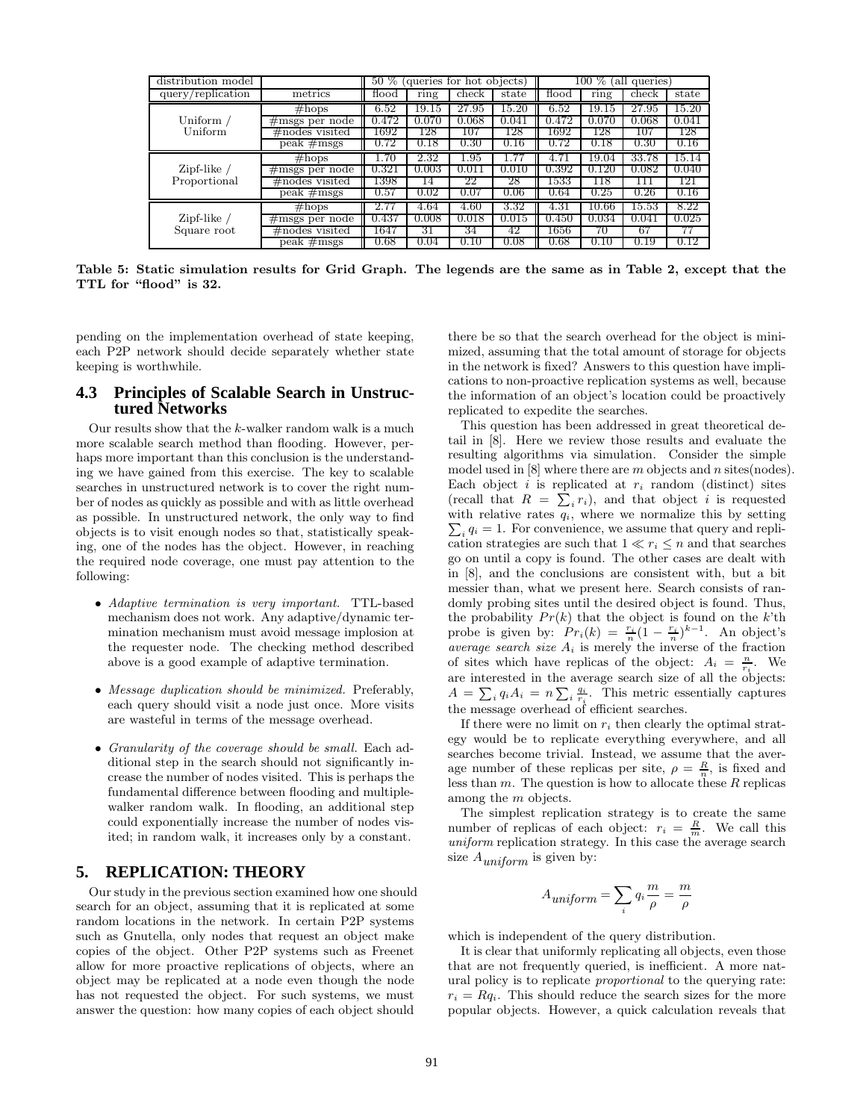| distribution model            |                                | 50 % (queries for hot objects)<br>queries<br>100 % (all |       |            |           |       |                    |       |          |
|-------------------------------|--------------------------------|---------------------------------------------------------|-------|------------|-----------|-------|--------------------|-------|----------|
| query/replication             | metrics                        | flood                                                   | ring  | check      | state     | flood | ring               | check | state    |
|                               | $#$ hops                       | 6.52                                                    | 19.15 | .95<br>27  | $15.20\,$ | 6.52  | 19.15              | 27.95 | 15.20    |
| Uniform /                     | $\#$ msgs per node             | .472                                                    |       | .068       | 0.04      | 0.472 | 0.070              | 0.068 | 0.041    |
| Uniform                       | #nodes visited                 | 1692                                                    | 128   | 107        | 128       | 1692  | 128                | 107   | 128      |
|                               | $\overline{\text{peak}}$ #msgs | 0.72                                                    | 0.18  | $\rm 0.30$ | 0.16      | 0.72  | 0.18               | 0.30  | 0.16     |
| Zipf-like $/$<br>Proportional | $\#$ hops                      | .70                                                     | 2.32  | $1.95\,$   |           |       | 19.04              | 33.78 | 15.14    |
|                               | $\#$ msgs per node             | 0.321                                                   | 0.003 | 0.011      | 0.010     | 0.392 | 0.120              | 0.082 | 0.040    |
|                               | $\#$ nodes visited             | 1398                                                    | 14    | 22         | 28        | 1533  | 1 I 8              | 111   | 121      |
|                               | peak $#$ msgs                  | 0.57                                                    | 0.02  | 0.07       | 0.06      | 0.64  | 0.25               | 0.26  | 0.16     |
|                               | $#$ hops                       | 2.77                                                    | 4.64  | 4.60       | 3.32      | 4.31  | $10.\overline{66}$ | 15.53 | 8.22     |
| Zipf-like $/$<br>Square root  | $\#$ msgs per node             | 0.437                                                   | 0.008 | 0.018      | 0.015     | 0.450 | 0.034              | 0.041 | 0.025    |
|                               | $\#$ nodes visited             | 1647                                                    | 31    | 34         | 42        | 1656  | 70                 | 67    |          |
|                               | $peak \#msgs$                  | 0.68                                                    | 0.04  | 0.10       | 0.08      | 0.68  | 0.10               | 0.19  | $0.12\,$ |

**Table 5: Static simulation results for Grid Graph. The legends are the same as in Table 2, except that the TTL for "flood" is 32.**

pending on the implementation overhead of state keeping, each P2P network should decide separately whether state keeping is worthwhile.

## **4.3 Principles of Scalable Search in Unstructured Networks**

Our results show that the  $k$ -walker random walk is a much more scalable search method than flooding. However, perhaps more important than this conclusion is the understanding we have gained from this exercise. The key to scalable searches in unstructured network is to cover the right number of nodes as quickly as possible and with as little overhead as possible. In unstructured network, the only way to find objects is to visit enough nodes so that, statistically speaking, one of the nodes has the object. However, in reaching the required node coverage, one must pay attention to the following:

- *Adaptive termination is very important.* TTL-based mechanism does not work. Any adaptive/dynamic termination mechanism must avoid message implosion at the requester node. The checking method described above is a good example of adaptive termination.
- *Message duplication should be minimized.* Preferably, each query should visit a node just once. More visits are wasteful in terms of the message overhead.
- *Granularity of the coverage should be small.* Each additional step in the search should not significantly increase the number of nodes visited. This is perhaps the fundamental difference between flooding and multiplewalker random walk. In flooding, an additional step could exponentially increase the number of nodes visited; in random walk, it increases only by a constant.

# **5. REPLICATION: THEORY**

Our study in the previous section examined how one should search for an object, assuming that it is replicated at some random locations in the network. In certain P2P systems such as Gnutella, only nodes that request an object make copies of the object. Other P2P systems such as Freenet allow for more proactive replications of objects, where an object may be replicated at a node even though the node has not requested the object. For such systems, we must answer the question: how many copies of each object should

there be so that the search overhead for the object is minimized, assuming that the total amount of storage for objects in the network is fixed? Answers to this question have implications to non-proactive replication systems as well, because the information of an object's location could be proactively replicated to expedite the searches.

This question has been addressed in great theoretical detail in [8]. Here we review those results and evaluate the resulting algorithms via simulation. Consider the simple model used in  $[8]$  where there are m objects and n sites(nodes). Each object i is replicated at  $r_i$  random (distinct) sites (recall that  $R = \sum_i r_i$ ), and that object i is requested with relative rates  $q_i$ , where we normalize this by setting  $\sum_i q_i = 1$ . For convenience, we assume that query and replication strategies are such that  $1 \ll r_i \leq n$  and that searches go on until a copy is found. The other cases are dealt with in [8], and the conclusions are consistent with, but a bit messier than, what we present here. Search consists of randomly probing sites until the desired object is found. Thus, the probability  $Pr(k)$  that the object is found on the k'th probe is given by:  $Pr_i(k) = \frac{r_i}{n} (1 - \frac{r_i}{n})^{k-1}$ . An object's *average search size*  $A_i$  is merely the inverse of the fraction of sites which have replicas of the object:  $A_i = \frac{n}{r_i}$ . We are interested in the average search size of all the objects:  $A = \sum_i q_i A_i = n \sum_i \frac{q_i}{r_i}$ . This metric essentially captures the message overhead of efficient searches.

If there were no limit on  $r_i$  then clearly the optimal strategy would be to replicate everything everywhere, and all searches become trivial. Instead, we assume that the average number of these replicas per site,  $\rho = \frac{R}{n}$ , is fixed and less than  $m$ . The question is how to allocate these  $R$  replicas among the m objects.

The simplest replication strategy is to create the same number of replicas of each object:  $r_i = \frac{R}{m}$ . We call this *uniform* replication strategy. In this case the average search size A*uniform* is given by:

$$
A_{uniform} = \sum_{i} q_i \frac{m}{\rho} = \frac{m}{\rho}
$$

which is independent of the query distribution.

It is clear that uniformly replicating all objects, even those that are not frequently queried, is inefficient. A more natural policy is to replicate *proportional* to the querying rate:  $r_i = Rq_i$ . This should reduce the search sizes for the more popular objects. However, a quick calculation reveals that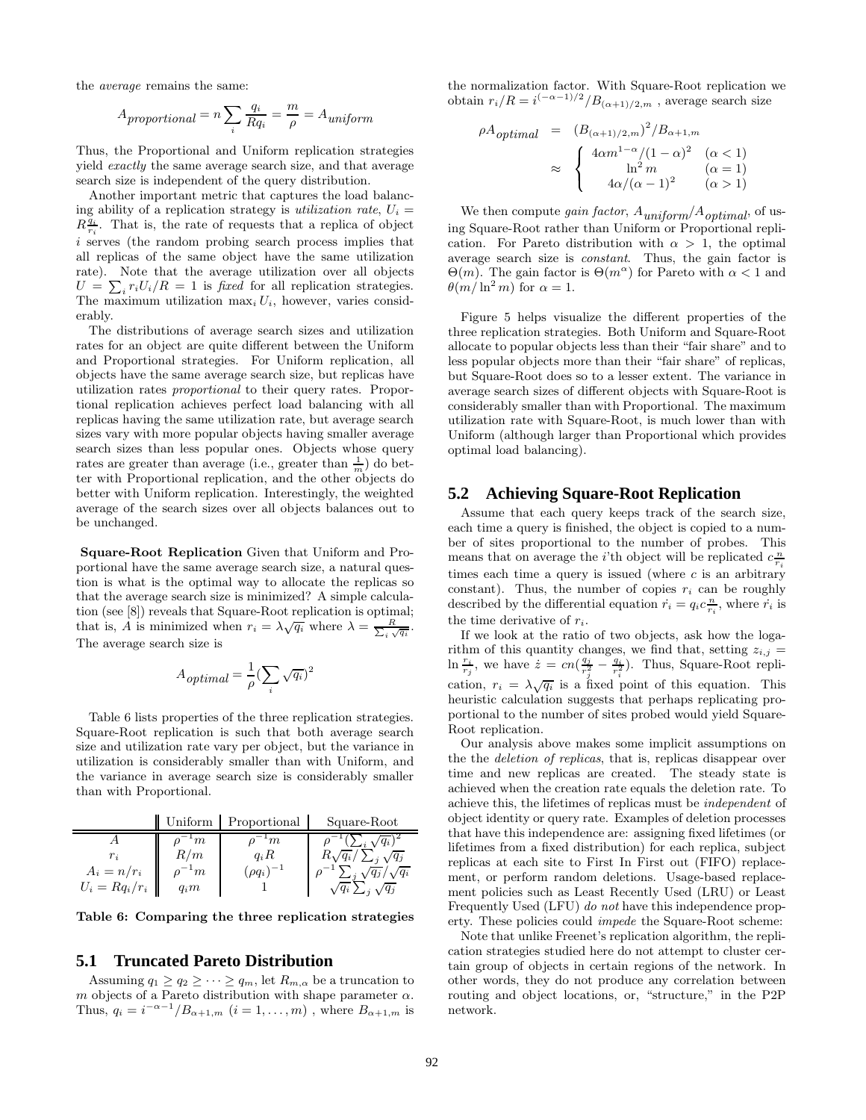the *average* remains the same:

$$
A_{proportional} = n \sum_{i} \frac{q_i}{Rq_i} = \frac{m}{\rho} = A_{uniform}
$$

Thus, the Proportional and Uniform replication strategies yield *exactly* the same average search size, and that average search size is independent of the query distribution.

Another important metric that captures the load balancing ability of a replication strategy is *utilization rate*,  $U_i =$  $R\frac{q_i}{r_i}$ . That is, the rate of requests that a replica of object i serves (the random probing search process implies that all replicas of the same object have the same utilization rate). Note that the average utilization over all objects  $U = \sum_i r_i U_i/R = 1$  is *fixed* for all replication strategies. The maximum utilization  $\max_i U_i$ , however, varies considerably.

The distributions of average search sizes and utilization rates for an object are quite different between the Uniform and Proportional strategies. For Uniform replication, all objects have the same average search size, but replicas have utilization rates *proportional* to their query rates. Proportional replication achieves perfect load balancing with all replicas having the same utilization rate, but average search sizes vary with more popular objects having smaller average search sizes than less popular ones. Objects whose query rates are greater than average (i.e., greater than  $\frac{1}{m}$ ) do better with Proportional replication, and the other objects do better with Uniform replication. Interestingly, the weighted average of the search sizes over all objects balances out to be unchanged.

**Square-Root Replication** Given that Uniform and Proportional have the same average search size, a natural question is what is the optimal way to allocate the replicas so that the average search size is minimized? A simple calculation (see [8]) reveals that Square-Root replication is optimal; that is, A is minimized when  $r_i = \lambda \sqrt{q_i}$  where  $\lambda = \frac{R}{\sum_i \sqrt{q_i}}$ . The average search size is

$$
A_{\text{optimal}} = \frac{1}{\rho} (\sum_{i} \sqrt{q_i})^2
$$

Table 6 lists properties of the three replication strategies. Square-Root replication is such that both average search size and utilization rate vary per object, but the variance in utilization is considerably smaller than with Uniform, and the variance in average search size is considerably smaller than with Proportional.

|                                            | Uniform                                    | Proportional                             | Square-Root                                                                                                              | objec                                              |
|--------------------------------------------|--------------------------------------------|------------------------------------------|--------------------------------------------------------------------------------------------------------------------------|----------------------------------------------------|
| $r_i$<br>$A_i = n/r_i$<br>$U_i = Rq_i/r_i$ | $\cdot_{m}$<br>R/m<br>$n^{-1}m$<br>$q_i m$ | $\cdot$ m<br>$q_iR$<br>$(\rho q_i)^{-1}$ | $\sqrt{q_i}$ <sup>2</sup><br>$R\sqrt{q_i}/\sum_j\sqrt{q_j}$<br>$\sqrt{q_j}/\sqrt{q_i}$<br>$\sqrt{q_i} \sum_j \sqrt{q_j}$ | $_{\rm that}$<br>lifetii<br>replic<br>ment<br>ment |

**Table 6: Comparing the three replication strategies**

#### **5.1 Truncated Pareto Distribution**

Assuming  $q_1 \ge q_2 \ge \cdots \ge q_m$ , let  $R_{m,\alpha}$  be a truncation to m objects of a Pareto distribution with shape parameter  $\alpha$ . Thus,  $q_i = i^{-\alpha-1}/B_{\alpha+1,m}$   $(i = 1, \ldots, m)$ , where  $B_{\alpha+1,m}$  is

the normalization factor. With Square-Root replication we obtain  $r_i/R = i^{(-\alpha - 1)/2}/B_{(\alpha + 1)/2,m}$ , average search size

$$
\rho A_{optimal} = (B_{(\alpha+1)/2,m})^2 / B_{\alpha+1,m}
$$

$$
\approx \begin{cases} 4\alpha m^{1-\alpha}/(1-\alpha)^2 & (\alpha < 1) \\ \ln^2 m & (\alpha = 1) \\ 4\alpha/(\alpha - 1)^2 & (\alpha > 1) \end{cases}
$$

We then compute *gain factor*, A*uniform*/A*optimal*, of using Square-Root rather than Uniform or Proportional replication. For Pareto distribution with  $\alpha > 1$ , the optimal average search size is *constant*. Thus, the gain factor is  $Θ(m)$ . The gain factor is  $Θ(m^{\alpha})$  for Pareto with  $\alpha < 1$  and  $\theta(m/\ln^2 m)$  for  $\alpha = 1$ .

Figure 5 helps visualize the different properties of the three replication strategies. Both Uniform and Square-Root allocate to popular objects less than their "fair share" and to less popular objects more than their "fair share" of replicas, but Square-Root does so to a lesser extent. The variance in average search sizes of different objects with Square-Root is considerably smaller than with Proportional. The maximum utilization rate with Square-Root, is much lower than with Uniform (although larger than Proportional which provides optimal load balancing).

## **5.2 Achieving Square-Root Replication**

Assume that each query keeps track of the search size, each time a query is finished, the object is copied to a number of sites proportional to the number of probes. This means that on average the *i*'th object will be replicated  $c \frac{n}{r_i}$ times each time a query is issued (where  $c$  is an arbitrary constant). Thus, the number of copies  $r_i$  can be roughly described by the differential equation  $\dot{r}_i = q_i c \frac{n}{r_i}$ , where  $\dot{r}_i$  is the time derivative of  $r_i$ .

If we look at the ratio of two objects, ask how the logarithm of this quantity changes, we find that, setting  $z_{i,j}$  =  $\ln \frac{r_i}{r_j}$ , we have  $\dot{z} = cn(\frac{q_j}{r_j^2} - \frac{q_i}{r_i^2})$ . Thus, Square-Root replication,  $r_i = \lambda \sqrt{q_i}$  is a fixed point of this equation. This heuristic calculation suggests that perhaps replicating proportional to the number of sites probed would yield Square-Root replication.

Our analysis above makes some implicit assumptions on the the *deletion of replicas*, that is, replicas disappear over time and new replicas are created. The steady state is achieved when the creation rate equals the deletion rate. To achieve this, the lifetimes of replicas must be *independent* of object identity or query rate. Examples of deletion processes that have this independence are: assigning fixed lifetimes (or lifetimes from a fixed distribution) for each replica, subject replicas at each site to First In First out (FIFO) replacement, or perform random deletions. Usage-based replacement policies such as Least Recently Used (LRU) or Least Frequently Used (LFU) *do not* have this independence property. These policies could *impede* the Square-Root scheme:

Note that unlike Freenet's replication algorithm, the replication strategies studied here do not attempt to cluster certain group of objects in certain regions of the network. In other words, they do not produce any correlation between routing and object locations, or, "structure," in the P2P network.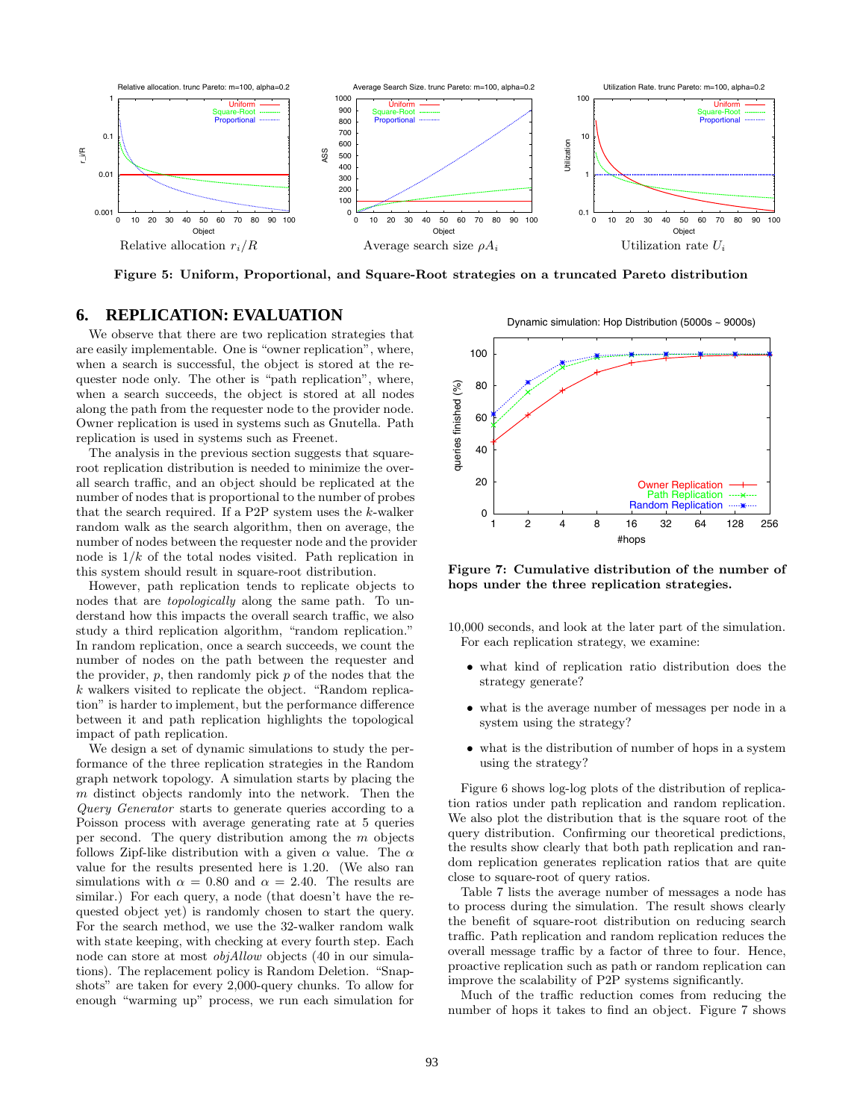

**Figure 5: Uniform, Proportional, and Square-Root strategies on a truncated Pareto distribution**

# **6. REPLICATION: EVALUATION**

We observe that there are two replication strategies that are easily implementable. One is "owner replication", where, when a search is successful, the object is stored at the requester node only. The other is "path replication", where, when a search succeeds, the object is stored at all nodes along the path from the requester node to the provider node. Owner replication is used in systems such as Gnutella. Path replication is used in systems such as Freenet.

The analysis in the previous section suggests that squareroot replication distribution is needed to minimize the overall search traffic, and an object should be replicated at the number of nodes that is proportional to the number of probes that the search required. If a P2P system uses the  $k$ -walker random walk as the search algorithm, then on average, the number of nodes between the requester node and the provider node is  $1/k$  of the total nodes visited. Path replication in this system should result in square-root distribution.

However, path replication tends to replicate objects to nodes that are *topologically* along the same path. To understand how this impacts the overall search traffic, we also study a third replication algorithm, "random replication." In random replication, once a search succeeds, we count the number of nodes on the path between the requester and the provider,  $p$ , then randomly pick  $p$  of the nodes that the k walkers visited to replicate the object. "Random replication" is harder to implement, but the performance difference between it and path replication highlights the topological impact of path replication.

We design a set of dynamic simulations to study the performance of the three replication strategies in the Random graph network topology. A simulation starts by placing the  $m$  distinct objects randomly into the network. Then the *Query Generator* starts to generate queries according to a Poisson process with average generating rate at 5 queries per second. The query distribution among the m objects follows Zipf-like distribution with a given  $\alpha$  value. The  $\alpha$ value for the results presented here is 1.20. (We also ran simulations with  $\alpha = 0.80$  and  $\alpha = 2.40$ . The results are similar.) For each query, a node (that doesn't have the requested object yet) is randomly chosen to start the query. For the search method, we use the 32-walker random walk with state keeping, with checking at every fourth step. Each node can store at most *objAllow* objects (40 in our simulations). The replacement policy is Random Deletion. "Snapshots" are taken for every 2,000-query chunks. To allow for enough "warming up" process, we run each simulation for

Dynamic simulation: Hop Distribution (5000s ~ 9000s)



**Figure 7: Cumulative distribution of the number of hops under the three replication strategies.**

- 10,000 seconds, and look at the later part of the simulation. For each replication strategy, we examine:
	- what kind of replication ratio distribution does the strategy generate?
	- what is the average number of messages per node in a system using the strategy?
	- what is the distribution of number of hops in a system using the strategy?

Figure 6 shows log-log plots of the distribution of replication ratios under path replication and random replication. We also plot the distribution that is the square root of the query distribution. Confirming our theoretical predictions, the results show clearly that both path replication and random replication generates replication ratios that are quite close to square-root of query ratios.

Table 7 lists the average number of messages a node has to process during the simulation. The result shows clearly the benefit of square-root distribution on reducing search traffic. Path replication and random replication reduces the overall message traffic by a factor of three to four. Hence, proactive replication such as path or random replication can improve the scalability of P2P systems significantly.

Much of the traffic reduction comes from reducing the number of hops it takes to find an object. Figure 7 shows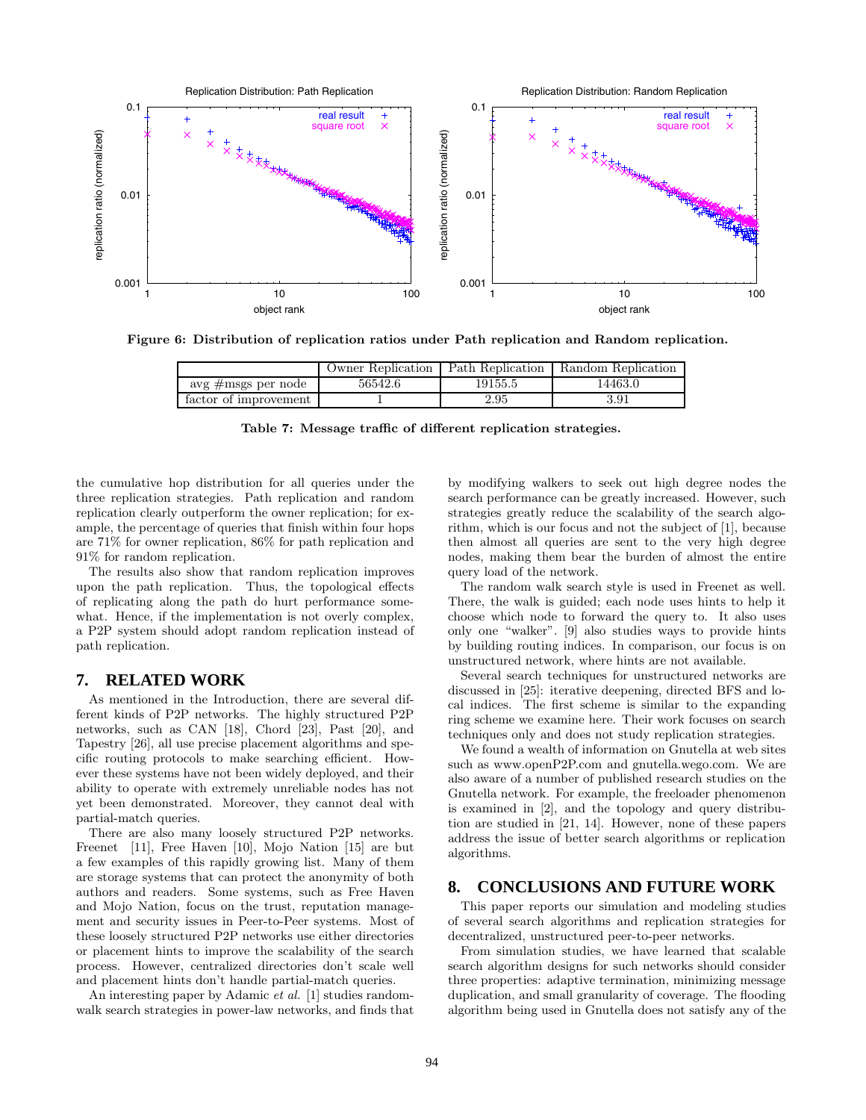

**Figure 6: Distribution of replication ratios under Path replication and Random replication.**

|                       | Owner Replication | Path Replication | Random Replication |
|-----------------------|-------------------|------------------|--------------------|
| avg #msgs per node    | 56542.6           | 19155.5          | 14463.0            |
| factor of improvement |                   | 2.95             | $_{\rm 3.91}$      |

**Table 7: Message traffic of different replication strategies.**

the cumulative hop distribution for all queries under the three replication strategies. Path replication and random replication clearly outperform the owner replication; for example, the percentage of queries that finish within four hops are 71% for owner replication, 86% for path replication and 91% for random replication.

The results also show that random replication improves upon the path replication. Thus, the topological effects of replicating along the path do hurt performance somewhat. Hence, if the implementation is not overly complex, a P2P system should adopt random replication instead of path replication.

### **7. RELATED WORK**

As mentioned in the Introduction, there are several different kinds of P2P networks. The highly structured P2P networks, such as CAN [18], Chord [23], Past [20], and Tapestry [26], all use precise placement algorithms and specific routing protocols to make searching efficient. However these systems have not been widely deployed, and their ability to operate with extremely unreliable nodes has not yet been demonstrated. Moreover, they cannot deal with partial-match queries.

There are also many loosely structured P2P networks. Freenet [11], Free Haven [10], Mojo Nation [15] are but a few examples of this rapidly growing list. Many of them are storage systems that can protect the anonymity of both authors and readers. Some systems, such as Free Haven and Mojo Nation, focus on the trust, reputation management and security issues in Peer-to-Peer systems. Most of these loosely structured P2P networks use either directories or placement hints to improve the scalability of the search process. However, centralized directories don't scale well and placement hints don't handle partial-match queries.

An interesting paper by Adamic *et al.* [1] studies randomwalk search strategies in power-law networks, and finds that by modifying walkers to seek out high degree nodes the search performance can be greatly increased. However, such strategies greatly reduce the scalability of the search algorithm, which is our focus and not the subject of [1], because then almost all queries are sent to the very high degree nodes, making them bear the burden of almost the entire query load of the network.

The random walk search style is used in Freenet as well. There, the walk is guided; each node uses hints to help it choose which node to forward the query to. It also uses only one "walker". [9] also studies ways to provide hints by building routing indices. In comparison, our focus is on unstructured network, where hints are not available.

Several search techniques for unstructured networks are discussed in [25]: iterative deepening, directed BFS and local indices. The first scheme is similar to the expanding ring scheme we examine here. Their work focuses on search techniques only and does not study replication strategies.

We found a wealth of information on Gnutella at web sites such as www.openP2P.com and gnutella.wego.com. We are also aware of a number of published research studies on the Gnutella network. For example, the freeloader phenomenon is examined in [2], and the topology and query distribution are studied in [21, 14]. However, none of these papers address the issue of better search algorithms or replication algorithms.

## **8. CONCLUSIONS AND FUTURE WORK**

This paper reports our simulation and modeling studies of several search algorithms and replication strategies for decentralized, unstructured peer-to-peer networks.

From simulation studies, we have learned that scalable search algorithm designs for such networks should consider three properties: adaptive termination, minimizing message duplication, and small granularity of coverage. The flooding algorithm being used in Gnutella does not satisfy any of the